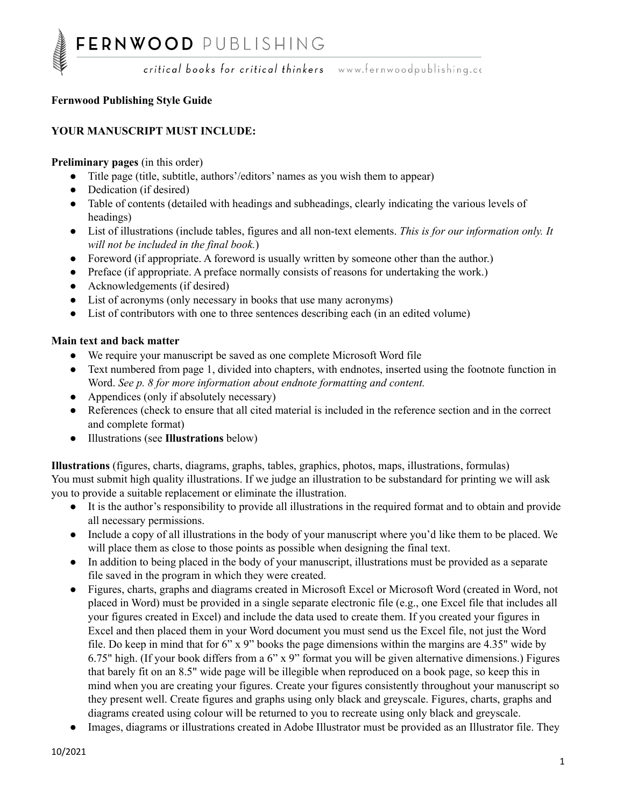#### **Fernwood Publishing Style Guide**

#### **YOUR MANUSCRIPT MUST INCLUDE:**

#### **Preliminary pages** (in this order)

- Title page (title, subtitle, authors'/editors' names as you wish them to appear)
- Dedication (if desired)
- Table of contents (detailed with headings and subheadings, clearly indicating the various levels of headings)
- List of illustrations (include tables, figures and all non-text elements. *This is for our information only. It will not be included in the final book.*)
- Foreword (if appropriate. A foreword is usually written by someone other than the author.)
- Preface (if appropriate. A preface normally consists of reasons for undertaking the work.)
- Acknowledgements (if desired)
- List of acronyms (only necessary in books that use many acronyms)
- List of contributors with one to three sentences describing each (in an edited volume)

#### **Main text and back matter**

- We require your manuscript be saved as one complete Microsoft Word file
- Text numbered from page 1, divided into chapters, with endnotes, inserted using the footnote function in Word. *See p. 8 for more information about endnote formatting and content.*
- Appendices (only if absolutely necessary)
- References (check to ensure that all cited material is included in the reference section and in the correct and complete format)
- Illustrations (see **Illustrations** below)

**Illustrations** (figures, charts, diagrams, graphs, tables, graphics, photos, maps, illustrations, formulas) You must submit high quality illustrations. If we judge an illustration to be substandard for printing we will ask you to provide a suitable replacement or eliminate the illustration.

- It is the author's responsibility to provide all illustrations in the required format and to obtain and provide all necessary permissions.
- Include a copy of all illustrations in the body of your manuscript where you'd like them to be placed. We will place them as close to those points as possible when designing the final text.
- In addition to being placed in the body of your manuscript, illustrations must be provided as a separate file saved in the program in which they were created.
- Figures, charts, graphs and diagrams created in Microsoft Excel or Microsoft Word (created in Word, not placed in Word) must be provided in a single separate electronic file (e.g., one Excel file that includes all your figures created in Excel) and include the data used to create them. If you created your figures in Excel and then placed them in your Word document you must send us the Excel file, not just the Word file. Do keep in mind that for 6" x 9" books the page dimensions within the margins are 4.35" wide by 6.75" high. (If your book differs from a 6" x 9" format you will be given alternative dimensions.) Figures that barely fit on an 8.5" wide page will be illegible when reproduced on a book page, so keep this in mind when you are creating your figures. Create your figures consistently throughout your manuscript so they present well. Create figures and graphs using only black and greyscale. Figures, charts, graphs and diagrams created using colour will be returned to you to recreate using only black and greyscale.
- Images, diagrams or illustrations created in Adobe Illustrator must be provided as an Illustrator file. They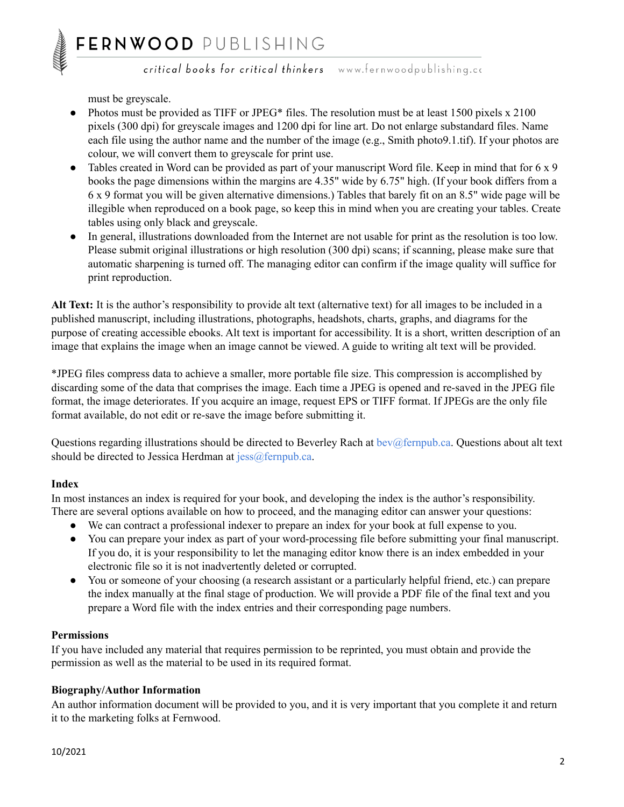must be greyscale.

- Photos must be provided as TIFF or JPEG\* files. The resolution must be at least 1500 pixels x 2100 pixels (300 dpi) for greyscale images and 1200 dpi for line art. Do not enlarge substandard files. Name each file using the author name and the number of the image (e.g., Smith photo9.1.tif). If your photos are colour, we will convert them to greyscale for print use.
- Tables created in Word can be provided as part of your manuscript Word file. Keep in mind that for 6 x 9 books the page dimensions within the margins are 4.35" wide by 6.75" high. (If your book differs from a 6 x 9 format you will be given alternative dimensions.) Tables that barely fit on an 8.5" wide page will be illegible when reproduced on a book page, so keep this in mind when you are creating your tables. Create tables using only black and greyscale.
- In general, illustrations downloaded from the Internet are not usable for print as the resolution is too low. Please submit original illustrations or high resolution (300 dpi) scans; if scanning, please make sure that automatic sharpening is turned off. The managing editor can confirm if the image quality will suffice for print reproduction.

**Alt Text:** It is the author's responsibility to provide alt text (alternative text) for all images to be included in a published manuscript, including illustrations, photographs, headshots, charts, graphs, and diagrams for the purpose of creating accessible ebooks. Alt text is important for accessibility. It is a short, written description of an image that explains the image when an image cannot be viewed. A guide to writing alt text will be provided.

\*JPEG files compress data to achieve a smaller, more portable file size. This compression is accomplished by discarding some of the data that comprises the image. Each time a JPEG is opened and re-saved in the JPEG file format, the image deteriorates. If you acquire an image, request EPS or TIFF format. If JPEGs are the only file format available, do not edit or re-save the image before submitting it.

Questions regarding illustrations should be directed to Beverley Rach at [bev@fernpub.ca](mailto:bev@fernpub.ca). Questions about alt text should be directed to Jessica Herdman at [jess@fernpub.ca.](mailto:jess@fernpub.ca)

#### **Index**

In most instances an index is required for your book, and developing the index is the author's responsibility. There are several options available on how to proceed, and the managing editor can answer your questions:

- We can contract a professional indexer to prepare an index for your book at full expense to you.
- You can prepare your index as part of your word-processing file before submitting your final manuscript. If you do, it is your responsibility to let the managing editor know there is an index embedded in your electronic file so it is not inadvertently deleted or corrupted.
- You or someone of your choosing (a research assistant or a particularly helpful friend, etc.) can prepare the index manually at the final stage of production. We will provide a PDF file of the final text and you prepare a Word file with the index entries and their corresponding page numbers.

#### **Permissions**

If you have included any material that requires permission to be reprinted, you must obtain and provide the permission as well as the material to be used in its required format.

#### **Biography/Author Information**

An author information document will be provided to you, and it is very important that you complete it and return it to the marketing folks at Fernwood.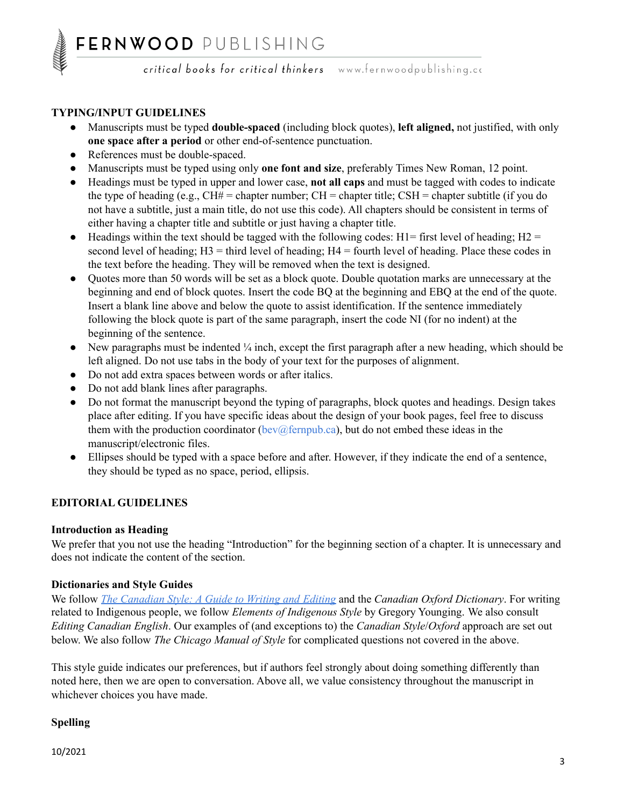#### **TYPING/INPUT GUIDELINES**

- Manuscripts must be typed **double-spaced** (including block quotes), **left aligned,** not justified, with only **one space after a period** or other end-of-sentence punctuation.
- References must be double-spaced.
- Manuscripts must be typed using only **one font and size**, preferably Times New Roman, 12 point.
- Headings must be typed in upper and lower case, **not all caps** and must be tagged with codes to indicate the type of heading (e.g.,  $CH# =$  chapter number;  $CH =$  chapter title;  $CSH =$  chapter subtitle (if you do not have a subtitle, just a main title, do not use this code). All chapters should be consistent in terms of either having a chapter title and subtitle or just having a chapter title.
- Headings within the text should be tagged with the following codes:  $H1 =$  first level of heading;  $H2 =$ second level of heading;  $H3$  = third level of heading;  $H4$  = fourth level of heading. Place these codes in the text before the heading. They will be removed when the text is designed.
- Quotes more than 50 words will be set as a block quote. Double quotation marks are unnecessary at the beginning and end of block quotes. Insert the code BQ at the beginning and EBQ at the end of the quote. Insert a blank line above and below the quote to assist identification. If the sentence immediately following the block quote is part of the same paragraph, insert the code NI (for no indent) at the beginning of the sentence.
- New paragraphs must be indented  $\frac{1}{4}$  inch, except the first paragraph after a new heading, which should be left aligned. Do not use tabs in the body of your text for the purposes of alignment.
- Do not add extra spaces between words or after italics.
- Do not add blank lines after paragraphs.
- Do not format the manuscript beyond the typing of paragraphs, block quotes and headings. Design takes place after editing. If you have specific ideas about the design of your book pages, feel free to discuss them with the production coordinator [\(bev@fernpub.ca\)](mailto:bev@fernpub.ca), but do not embed these ideas in the manuscript/electronic files.
- Ellipses should be typed with a space before and after. However, if they indicate the end of a sentence, they should be typed as no space, period, ellipsis.

#### **EDITORIAL GUIDELINES**

#### **Introduction as Heading**

We prefer that you not use the heading "Introduction" for the beginning section of a chapter. It is unnecessary and does not indicate the content of the section.

#### **Dictionaries and Style Guides**

We follow *The [Canadian](https://www.btb.termiumplus.gc.ca/tpv2guides/guides/tcdnstyl/index-eng.html?lang=eng) Style: A Guide to Writing and Editing* and the *Canadian Oxford Dictionary*. For writing related to Indigenous people, we follow *Elements of Indigenous Style* by Gregory Younging. We also consult *Editing Canadian English*. Our examples of (and exceptions to) the *Canadian Style*/*Oxford* approach are set out below. We also follow *The Chicago Manual of Style* for complicated questions not covered in the above.

This style guide indicates our preferences, but if authors feel strongly about doing something differently than noted here, then we are open to conversation. Above all, we value consistency throughout the manuscript in whichever choices you have made.

#### **Spelling**

10/2021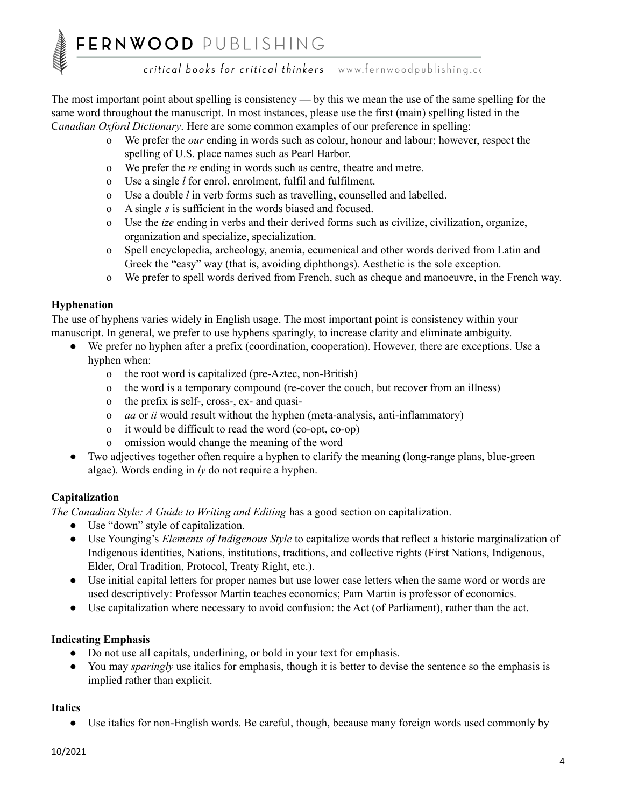The most important point about spelling is consistency — by this we mean the use of the same spelling for the same word throughout the manuscript. In most instances, please use the first (main) spelling listed in the C*anadian Oxford Dictionary*. Here are some common examples of our preference in spelling:

- o We prefer the *our* ending in words such as colour, honour and labour; however, respect the spelling of U.S. place names such as Pearl Harbor.
- o We prefer the *re* ending in words such as centre, theatre and metre.
- o Use a single *l* for enrol, enrolment, fulfil and fulfilment.
- o Use a double *l* in verb forms such as travelling, counselled and labelled.
- o A single *s* is sufficient in the words biased and focused.
- o Use the *ize* ending in verbs and their derived forms such as civilize, civilization, organize, organization and specialize, specialization.
- o Spell encyclopedia, archeology, anemia, ecumenical and other words derived from Latin and Greek the "easy" way (that is, avoiding diphthongs). Aesthetic is the sole exception.
- o We prefer to spell words derived from French, such as cheque and manoeuvre, in the French way.

#### **Hyphenation**

The use of hyphens varies widely in English usage. The most important point is consistency within your manuscript. In general, we prefer to use hyphens sparingly, to increase clarity and eliminate ambiguity.

- We prefer no hyphen after a prefix (coordination, cooperation). However, there are exceptions. Use a hyphen when:
	- o the root word is capitalized (pre-Aztec, non-British)
	- o the word is a temporary compound (re-cover the couch, but recover from an illness)
	- o the prefix is self-, cross-, ex- and quasi-
	- o *aa* or *ii* would result without the hyphen (meta-analysis, anti-inflammatory)
	- o it would be difficult to read the word (co-opt, co-op)
	- o omission would change the meaning of the word
- Two adjectives together often require a hyphen to clarify the meaning (long-range plans, blue-green algae). Words ending in *ly* do not require a hyphen.

#### **Capitalization**

*The Canadian Style: A Guide to Writing and Editing* has a good section on capitalization.

- Use "down" style of capitalization.
- Use Younging's *Elements of Indigenous Style* to capitalize words that reflect a historic marginalization of Indigenous identities, Nations, institutions, traditions, and collective rights (First Nations, Indigenous, Elder, Oral Tradition, Protocol, Treaty Right, etc.).
- Use initial capital letters for proper names but use lower case letters when the same word or words are used descriptively: Professor Martin teaches economics; Pam Martin is professor of economics.
- Use capitalization where necessary to avoid confusion: the Act (of Parliament), rather than the act.

#### **Indicating Emphasis**

- Do not use all capitals, underlining, or bold in your text for emphasis.
- You may *sparingly* use italics for emphasis, though it is better to devise the sentence so the emphasis is implied rather than explicit.

#### **Italics**

● Use italics for non-English words. Be careful, though, because many foreign words used commonly by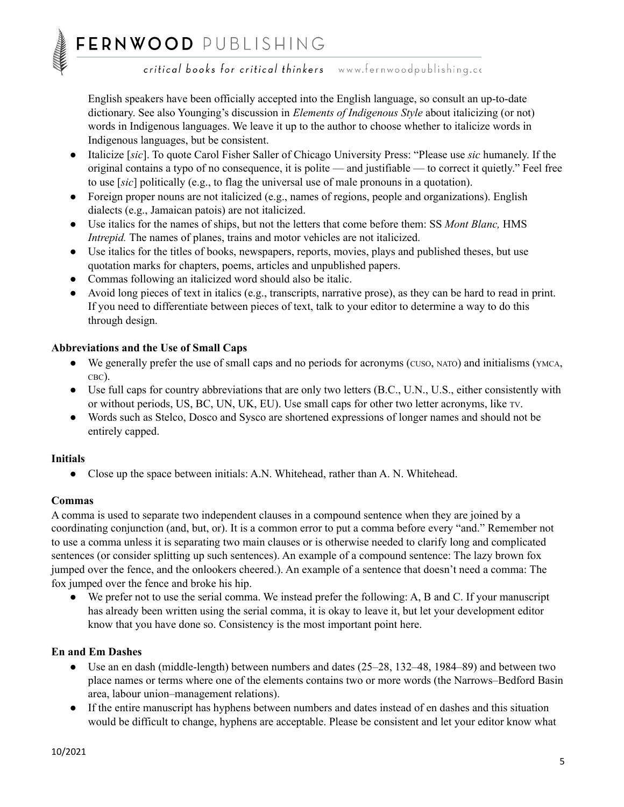English speakers have been officially accepted into the English language, so consult an up-to-date dictionary. See also Younging's discussion in *Elements of Indigenous Style* about italicizing (or not) words in Indigenous languages. We leave it up to the author to choose whether to italicize words in Indigenous languages, but be consistent.

- Italicize [*sic*]. To quote Carol Fisher Saller of Chicago University Press: "Please use *sic* humanely. If the original contains a typo of no consequence, it is polite — and justifiable — to correct it quietly." Feel free to use [*sic*] politically (e.g., to flag the universal use of male pronouns in a quotation).
- Foreign proper nouns are not italicized (e.g., names of regions, people and organizations). English dialects (e.g., Jamaican patois) are not italicized.
- Use italics for the names of ships, but not the letters that come before them: SS *Mont Blanc,* HMS *Intrepid.* The names of planes, trains and motor vehicles are not italicized.
- Use italics for the titles of books, newspapers, reports, movies, plays and published theses, but use quotation marks for chapters, poems, articles and unpublished papers.
- Commas following an italicized word should also be italic.
- Avoid long pieces of text in italics (e.g., transcripts, narrative prose), as they can be hard to read in print. If you need to differentiate between pieces of text, talk to your editor to determine a way to do this through design.

#### **Abbreviations and the Use of Small Caps**

- We generally prefer the use of small caps and no periods for acronyms (CUSO, NATO) and initialisms (YMCA, CBC).
- Use full caps for country abbreviations that are only two letters (B.C., U.N., U.S., either consistently with or without periods, US, BC, UN, UK, EU). Use small caps for other two letter acronyms, like TV.
- Words such as Stelco, Dosco and Sysco are shortened expressions of longer names and should not be entirely capped.

#### **Initials**

● Close up the space between initials: A.N. Whitehead, rather than A. N. Whitehead.

#### **Commas**

A comma is used to separate two independent clauses in a compound sentence when they are joined by a coordinating conjunction (and, but, or). It is a common error to put a comma before every "and." Remember not to use a comma unless it is separating two main clauses or is otherwise needed to clarify long and complicated sentences (or consider splitting up such sentences). An example of a compound sentence: The lazy brown fox jumped over the fence, and the onlookers cheered.). An example of a sentence that doesn't need a comma: The fox jumped over the fence and broke his hip.

● We prefer not to use the serial comma. We instead prefer the following: A, B and C. If your manuscript has already been written using the serial comma, it is okay to leave it, but let your development editor know that you have done so. Consistency is the most important point here.

#### **En and Em Dashes**

- Use an en dash (middle-length) between numbers and dates (25–28, 132–48, 1984–89) and between two place names or terms where one of the elements contains two or more words (the Narrows–Bedford Basin area, labour union–management relations).
- If the entire manuscript has hyphens between numbers and dates instead of en dashes and this situation would be difficult to change, hyphens are acceptable. Please be consistent and let your editor know what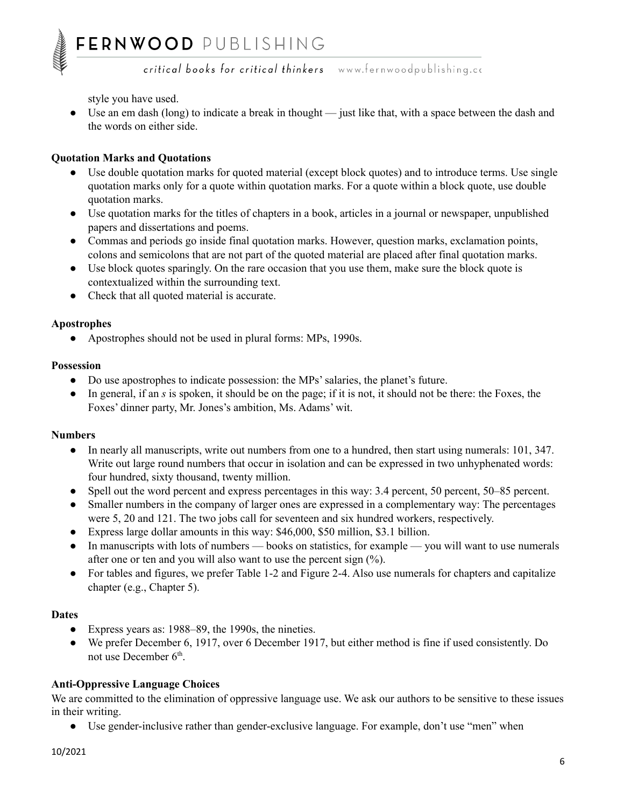style you have used.

• Use an em dash (long) to indicate a break in thought — just like that, with a space between the dash and the words on either side.

#### **Quotation Marks and Quotations**

- Use double quotation marks for quoted material (except block quotes) and to introduce terms. Use single quotation marks only for a quote within quotation marks. For a quote within a block quote, use double quotation marks.
- Use quotation marks for the titles of chapters in a book, articles in a journal or newspaper, unpublished papers and dissertations and poems.
- Commas and periods go inside final quotation marks. However, question marks, exclamation points, colons and semicolons that are not part of the quoted material are placed after final quotation marks.
- Use block quotes sparingly. On the rare occasion that you use them, make sure the block quote is contextualized within the surrounding text.
- Check that all quoted material is accurate.

#### **Apostrophes**

• Apostrophes should not be used in plural forms: MPs, 1990s.

#### **Possession**

- Do use apostrophes to indicate possession: the MPs' salaries, the planet's future.
- In general, if an *s* is spoken, it should be on the page; if it is not, it should not be there: the Foxes, the Foxes' dinner party, Mr. Jones's ambition, Ms. Adams' wit.

#### **Numbers**

- In nearly all manuscripts, write out numbers from one to a hundred, then start using numerals: 101, 347. Write out large round numbers that occur in isolation and can be expressed in two unhyphenated words: four hundred, sixty thousand, twenty million.
- Spell out the word percent and express percentages in this way: 3.4 percent, 50 percent, 50–85 percent.
- Smaller numbers in the company of larger ones are expressed in a complementary way: The percentages were 5, 20 and 121. The two jobs call for seventeen and six hundred workers, respectively.
- Express large dollar amounts in this way: \$46,000, \$50 million, \$3.1 billion.
- In manuscripts with lots of numbers books on statistics, for example you will want to use numerals after one or ten and you will also want to use the percent sign (%).
- For tables and figures, we prefer Table 1-2 and Figure 2-4. Also use numerals for chapters and capitalize chapter (e.g., Chapter 5).

#### **Dates**

- Express years as: 1988–89, the 1990s, the nineties.
- We prefer December 6, 1917, over 6 December 1917, but either method is fine if used consistently. Do not use December 6<sup>th</sup>.

#### **Anti-Oppressive Language Choices**

We are committed to the elimination of oppressive language use. We ask our authors to be sensitive to these issues in their writing.

● Use gender-inclusive rather than gender-exclusive language. For example, don't use "men" when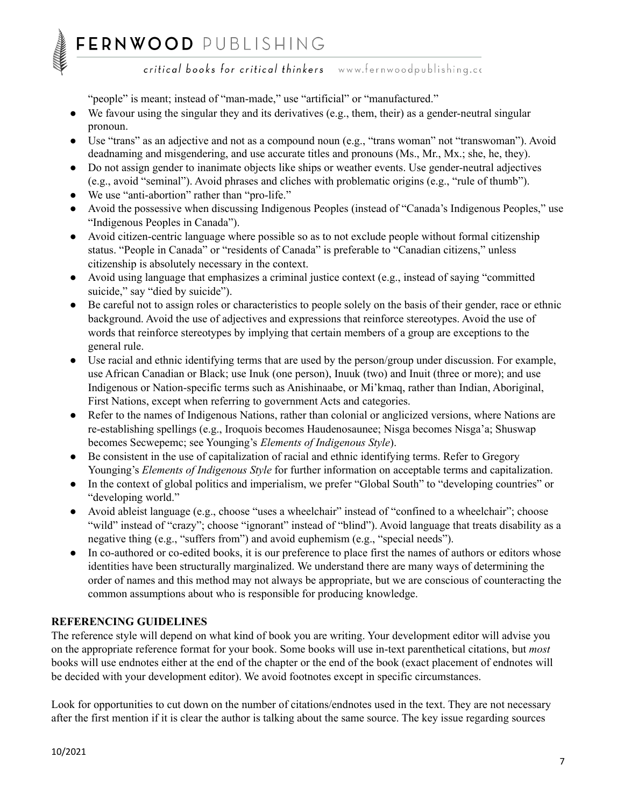## FERNWOOD PUBLISHING

critical books for critical thinkers www.fernwoodpublishing.cc

"people" is meant; instead of "man-made," use "artificial" or "manufactured."

- $\bullet$  We favour using the singular they and its derivatives (e.g., them, their) as a gender-neutral singular pronoun.
- Use "trans" as an adjective and not as a compound noun (e.g., "trans woman" not "transwoman"). Avoid deadnaming and misgendering, and use accurate titles and pronouns (Ms., Mr., Mx.; she, he, they).
- Do not assign gender to inanimate objects like ships or weather events. Use gender-neutral adjectives (e.g., avoid "seminal"). Avoid phrases and cliches with problematic origins (e.g., "rule of thumb").
- We use "anti-abortion" rather than "pro-life."
- Avoid the possessive when discussing Indigenous Peoples (instead of "Canada's Indigenous Peoples," use "Indigenous Peoples in Canada").
- Avoid citizen-centric language where possible so as to not exclude people without formal citizenship status. "People in Canada" or "residents of Canada" is preferable to "Canadian citizens," unless citizenship is absolutely necessary in the context.
- Avoid using language that emphasizes a criminal justice context (e.g., instead of saying "committed suicide," say "died by suicide").
- Be careful not to assign roles or characteristics to people solely on the basis of their gender, race or ethnic background. Avoid the use of adjectives and expressions that reinforce stereotypes. Avoid the use of words that reinforce stereotypes by implying that certain members of a group are exceptions to the general rule.
- Use racial and ethnic identifying terms that are used by the person/group under discussion. For example, use African Canadian or Black; use Inuk (one person), Inuuk (two) and Inuit (three or more); and use Indigenous or Nation-specific terms such as Anishinaabe, or Mi'kmaq, rather than Indian, Aboriginal, First Nations, except when referring to government Acts and categories.
- Refer to the names of Indigenous Nations, rather than colonial or anglicized versions, where Nations are re-establishing spellings (e.g., Iroquois becomes Haudenosaunee; Nisga becomes Nisga'a; Shuswap becomes Secwepemc; see Younging's *Elements of Indigenous Style*).
- Be consistent in the use of capitalization of racial and ethnic identifying terms. Refer to Gregory Younging's *Elements of Indigenous Style* for further information on acceptable terms and capitalization.
- In the context of global politics and imperialism, we prefer "Global South" to "developing countries" or "developing world."
- Avoid ableist language (e.g., choose "uses a wheelchair" instead of "confined to a wheelchair"; choose "wild" instead of "crazy"; choose "ignorant" instead of "blind"). Avoid language that treats disability as a negative thing (e.g., "suffers from") and avoid euphemism (e.g., "special needs").
- In co-authored or co-edited books, it is our preference to place first the names of authors or editors whose identities have been structurally marginalized. We understand there are many ways of determining the order of names and this method may not always be appropriate, but we are conscious of counteracting the common assumptions about who is responsible for producing knowledge.

### **REFERENCING GUIDELINES**

The reference style will depend on what kind of book you are writing. Your development editor will advise you on the appropriate reference format for your book. Some books will use in-text parenthetical citations, but *most* books will use endnotes either at the end of the chapter or the end of the book (exact placement of endnotes will be decided with your development editor). We avoid footnotes except in specific circumstances.

Look for opportunities to cut down on the number of citations/endnotes used in the text. They are not necessary after the first mention if it is clear the author is talking about the same source. The key issue regarding sources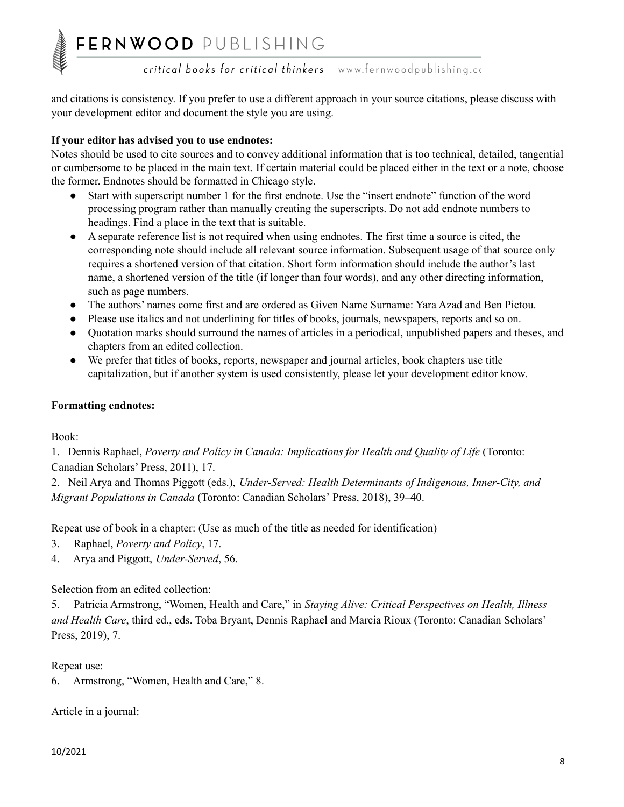and citations is consistency. If you prefer to use a different approach in your source citations, please discuss with your development editor and document the style you are using.

#### **If your editor has advised you to use endnotes:**

Notes should be used to cite sources and to convey additional information that is too technical, detailed, tangential or cumbersome to be placed in the main text. If certain material could be placed either in the text or a note, choose the former. Endnotes should be formatted in Chicago style.

- Start with superscript number 1 for the first endnote. Use the "insert endnote" function of the word processing program rather than manually creating the superscripts. Do not add endnote numbers to headings. Find a place in the text that is suitable.
- A separate reference list is not required when using endnotes. The first time a source is cited, the corresponding note should include all relevant source information. Subsequent usage of that source only requires a shortened version of that citation. Short form information should include the author's last name, a shortened version of the title (if longer than four words), and any other directing information, such as page numbers.
- The authors' names come first and are ordered as Given Name Surname: Yara Azad and Ben Pictou.
- Please use italics and not underlining for titles of books, journals, newspapers, reports and so on.
- Quotation marks should surround the names of articles in a periodical, unpublished papers and theses, and chapters from an edited collection.
- We prefer that titles of books, reports, newspaper and journal articles, book chapters use title capitalization, but if another system is used consistently, please let your development editor know.

#### **Formatting endnotes:**

Book:

1. Dennis Raphael, *Poverty and Policy in Canada: Implications for Health and Quality of Life* (Toronto: Canadian Scholars' Press, 2011), 17.

2. Neil Arya and Thomas Piggott (eds.), *Under-Served: Health Determinants of Indigenous, Inner-City, and Migrant Populations in Canada* (Toronto: Canadian Scholars' Press, 2018), 39–40.

Repeat use of book in a chapter: (Use as much of the title as needed for identification)

- 3. Raphael, *Poverty and Policy*, 17.
- 4. Arya and Piggott, *Under-Served*, 56.

Selection from an edited collection:

5. Patricia Armstrong, "Women, Health and Care," in *Staying Alive: Critical Perspectives on Health, Illness and Health Care*, third ed., eds. Toba Bryant, Dennis Raphael and Marcia Rioux (Toronto: Canadian Scholars' Press, 2019), 7.

Repeat use:

6. Armstrong, "Women, Health and Care," 8.

Article in a journal: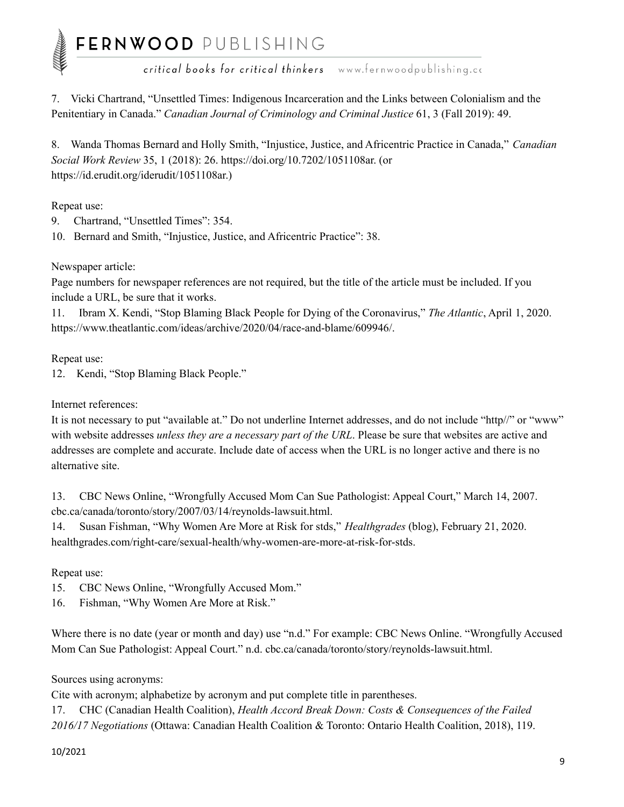# FERNWOOD PUBLISHING<br>
critical books for critical thinkers www.fernwoodpublishing.cc

7. Vicki Chartrand, "Unsettled Times: Indigenous Incarceration and the Links between Colonialism and the Penitentiary in Canada." *Canadian Journal of Criminology and Criminal Justice* 61, 3 (Fall 2019): 49.

8. Wanda Thomas Bernard and Holly Smith, "Injustice, Justice, and Africentric Practice in Canada," *Canadian Social Work Review* 35, 1 (2018): 26. https://doi.org/10.7202/1051108ar. (or https://id.erudit.org/iderudit/1051108ar.)

Repeat use:

9. Chartrand, "Unsettled Times": 354.

10. Bernard and Smith, "Injustice, Justice, and Africentric Practice": 38.

Newspaper article:

Page numbers for newspaper references are not required, but the title of the article must be included. If you include a URL, be sure that it works.

11. Ibram X. Kendi, "Stop Blaming Black People for Dying of the Coronavirus," *The Atlantic*, April 1, 2020. https://www.theatlantic.com/ideas/archive/2020/04/race-and-blame/609946/.

Repeat use:

12. Kendi, "Stop Blaming Black People."

Internet references:

It is not necessary to put "available at." Do not underline Internet addresses, and do not include "http//" or "www" with website addresses *unless they are a necessary part of the URL*. Please be sure that websites are active and addresses are complete and accurate. Include date of access when the URL is no longer active and there is no alternative site.

13. CBC News Online, "Wrongfully Accused Mom Can Sue Pathologist: Appeal Court," March 14, 2007. cbc.ca/canada/toronto/story/2007/03/14/reynolds-lawsuit.html.

14. Susan Fishman, "Why Women Are More at Risk for stds," *Healthgrades* (blog), February 21, 2020. healthgrades.com/right-care/sexual-health/why-women-are-more-at-risk-for-stds.

Repeat use:

15. CBC News Online, "Wrongfully Accused Mom."

16. Fishman, "Why Women Are More at Risk."

Where there is no date (year or month and day) use "n.d." For example: CBC News Online. "Wrongfully Accused Mom Can Sue Pathologist: Appeal Court." n.d. cbc.ca/canada/toronto/story/reynolds-lawsuit.html.

Sources using acronyms:

Cite with acronym; alphabetize by acronym and put complete title in parentheses.

17. CHC (Canadian Health Coalition), *Health Accord Break Down: Costs & Consequences of the Failed 2016/17 Negotiations* (Ottawa: Canadian Health Coalition & Toronto: Ontario Health Coalition, 2018), 119.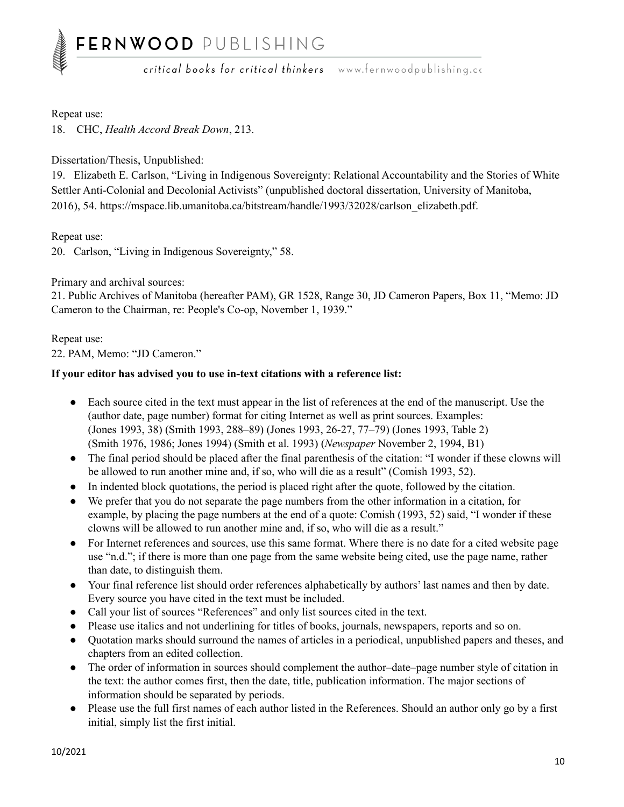#### Repeat use:

18. CHC, *Health Accord Break Down*, 213.

#### Dissertation/Thesis, Unpublished:

19. Elizabeth E. Carlson, "Living in Indigenous Sovereignty: Relational Accountability and the Stories of White Settler Anti-Colonial and Decolonial Activists" (unpublished doctoral dissertation, University of Manitoba, 2016), 54. https://mspace.lib.umanitoba.ca/bitstream/handle/1993/32028/carlson\_elizabeth.pdf.

Repeat use:

20. Carlson, "Living in Indigenous Sovereignty," 58.

#### Primary and archival sources:

21. Public Archives of Manitoba (hereafter PAM), GR 1528, Range 30, JD Cameron Papers, Box 11, "Memo: JD Cameron to the Chairman, re: People's Co-op, November 1, 1939."

#### Repeat use:

22. PAM, Memo: "JD Cameron."

#### **If your editor has advised you to use in-text citations with a reference list:**

- Each source cited in the text must appear in the list of references at the end of the manuscript. Use the (author date, page number) format for citing Internet as well as print sources. Examples: (Jones 1993, 38) (Smith 1993, 288–89) (Jones 1993, 26-27, 77–79) (Jones 1993, Table 2) (Smith 1976, 1986; Jones 1994) (Smith et al. 1993) (*Newspaper* November 2, 1994, B1)
- The final period should be placed after the final parenthesis of the citation: "I wonder if these clowns will be allowed to run another mine and, if so, who will die as a result" (Comish 1993, 52).
- In indented block quotations, the period is placed right after the quote, followed by the citation.
- We prefer that you do not separate the page numbers from the other information in a citation, for example, by placing the page numbers at the end of a quote: Comish (1993, 52) said, "I wonder if these clowns will be allowed to run another mine and, if so, who will die as a result."
- For Internet references and sources, use this same format. Where there is no date for a cited website page use "n.d."; if there is more than one page from the same website being cited, use the page name, rather than date, to distinguish them.
- Your final reference list should order references alphabetically by authors' last names and then by date. Every source you have cited in the text must be included.
- Call your list of sources "References" and only list sources cited in the text.
- Please use italics and not underlining for titles of books, journals, newspapers, reports and so on.
- Quotation marks should surround the names of articles in a periodical, unpublished papers and theses, and chapters from an edited collection.
- The order of information in sources should complement the author–date–page number style of citation in the text: the author comes first, then the date, title, publication information. The major sections of information should be separated by periods.
- Please use the full first names of each author listed in the References. Should an author only go by a first initial, simply list the first initial.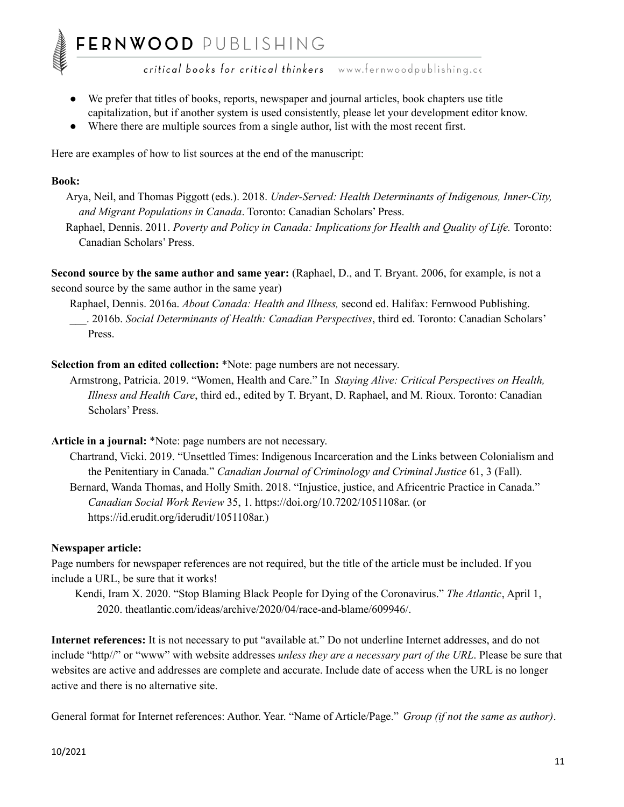- We prefer that titles of books, reports, newspaper and journal articles, book chapters use title capitalization, but if another system is used consistently, please let your development editor know.
- Where there are multiple sources from a single author, list with the most recent first.

Here are examples of how to list sources at the end of the manuscript:

#### **Book:**

Arya, Neil, and Thomas Piggott (eds.). 2018. *Under-Served: Health Determinants of Indigenous, Inner-City, and Migrant Populations in Canada*. Toronto: Canadian Scholars' Press.

Raphael, Dennis. 2011. *Poverty and Policy in Canada: Implications for Health and Quality of Life.* Toronto: Canadian Scholars' Press.

**Second source by the same author and same year:** (Raphael, D., and T. Bryant. 2006, for example, is not a second source by the same author in the same year)

Raphael, Dennis. 2016a. *About Canada: Health and Illness,* second ed. Halifax: Fernwood Publishing. \_\_\_. 2016b. *Social Determinants of Health: Canadian Perspectives*, third ed. Toronto: Canadian Scholars' Press.

**Selection from an edited collection:** \*Note: page numbers are not necessary.

Armstrong, Patricia. 2019. "Women, Health and Care." In *Staying Alive: Critical Perspectives on Health, Illness and Health Care*, third ed., edited by T. Bryant, D. Raphael, and M. Rioux. Toronto: Canadian Scholars' Press.

#### **Article in a journal:** \*Note: page numbers are not necessary.

Chartrand, Vicki. 2019. "Unsettled Times: Indigenous Incarceration and the Links between Colonialism and the Penitentiary in Canada." *Canadian Journal of Criminology and Criminal Justice* 61, 3 (Fall).

Bernard, Wanda Thomas, and Holly Smith. 2018. "Injustice, justice, and Africentric Practice in Canada." *Canadian Social Work Review* 35, 1. https://doi.org/10.7202/1051108ar. (or https://id.erudit.org/iderudit/1051108ar.)

#### **Newspaper article:**

Page numbers for newspaper references are not required, but the title of the article must be included. If you include a URL, be sure that it works!

Kendi, Iram X. 2020. "Stop Blaming Black People for Dying of the Coronavirus." *The Atlantic*, April 1, 2020. theatlantic.com/ideas/archive/2020/04/race-and-blame/609946/.

**Internet references:** It is not necessary to put "available at." Do not underline Internet addresses, and do not include "http//" or "www" with website addresses *unless they are a necessary part of the URL*. Please be sure that websites are active and addresses are complete and accurate. Include date of access when the URL is no longer active and there is no alternative site.

General format for Internet references: Author. Year. "Name of Article/Page." *Group (if not the same as author)*.